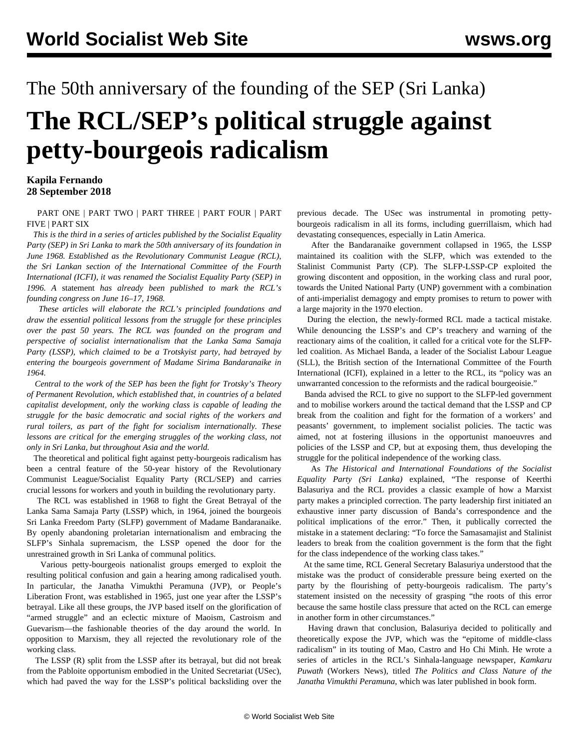## The 50th anniversary of the founding of the SEP (Sri Lanka) **The RCL/SEP's political struggle against petty-bourgeois radicalism**

## **Kapila Fernando 28 September 2018**

 [PART ONE](/en/articles/2018/09/24/sri1-s24.html) | [PART TWO](/en/articles/2018/09/26/sri2-s26.html) | [PART THREE](/en/articles/2018/09/28/sri3-s28.html) | [PART FOUR](/en/articles/2018/12/27/aniv-d27.html) | [PART](/en/articles/2018/12/28/sri5-d28/en/articles/2018/12/28/sri5-d28.html) [FIVE](/en/articles/2018/12/28/sri5-d28/en/articles/2018/12/28/sri5-d28.html) | [PART SIX](/en/articles/2018/12/29/aniv-d29.html)

 *This is the third in a series of articles published by the Socialist Equality Party (SEP) in Sri Lanka to mark the 50th anniversary of its foundation in June 1968. Established as the Revolutionary Communist League (RCL), the Sri Lankan section of the International Committee of the Fourth International (ICFI), it was renamed the Socialist Equality Party (SEP) in 1996. A* [statement](/en/articles/2018/06/16/lank-j16.html) *has already been published to mark the RCL's founding congress on June 16–17, 1968.*

 *These articles will elaborate the RCL's principled foundations and draw the essential political lessons from the struggle for these principles over the past 50 years. The RCL was founded on the program and perspective of socialist internationalism that the Lanka Sama Samaja Party (LSSP), which claimed to be a Trotskyist party, had betrayed by entering the bourgeois government of Madame Sirima Bandaranaike in 1964.*

 *Central to the work of the SEP has been the fight for Trotsky's Theory of Permanent Revolution, which established that, in countries of a belated capitalist development, only the working class is capable of leading the struggle for the basic democratic and social rights of the workers and rural toilers, as part of the fight for socialism internationally. These lessons are critical for the emerging struggles of the working class, not only in Sri Lanka, but throughout Asia and the world.*

 The theoretical and political fight against petty-bourgeois radicalism has been a central feature of the 50-year history of the Revolutionary Communist League/Socialist Equality Party (RCL/SEP) and carries crucial lessons for workers and youth in building the revolutionary party.

 The RCL was established in 1968 to fight the Great Betrayal of the Lanka Sama Samaja Party (LSSP) which, in 1964, joined the bourgeois Sri Lanka Freedom Party (SLFP) government of Madame Bandaranaike. By openly abandoning proletarian internationalism and embracing the SLFP's Sinhala supremacism, the LSSP opened the door for the unrestrained growth in Sri Lanka of communal politics.

 Various petty-bourgeois nationalist groups emerged to exploit the resulting political confusion and gain a hearing among radicalised youth. In particular, the Janatha Vimukthi Peramuna (JVP), or People's Liberation Front, was established in 1965, just one year after the LSSP's betrayal. Like all these groups, the JVP based itself on the glorification of "armed struggle" and an eclectic mixture of Maoism, Castroism and Guevarism—the fashionable theories of the day around the world. In opposition to Marxism, they all rejected the revolutionary role of the working class.

 The LSSP (R) split from the LSSP after its betrayal, but did not break from the Pabloite opportunism embodied in the United Secretariat (USec), which had paved the way for the LSSP's [political backsliding](/en/articles/2018/09/24/sri1-s24.html) over the

previous decade. The USec was instrumental in promoting pettybourgeois radicalism in all its forms, including guerrillaism, which had devastating consequences, especially in Latin America.

 After the Bandaranaike government collapsed in 1965, the LSSP maintained its coalition with the SLFP, which was extended to the Stalinist Communist Party (CP). The SLFP-LSSP-CP exploited the growing discontent and opposition, in the working class and rural poor, towards the United National Party (UNP) government with a combination of anti-imperialist demagogy and empty promises to return to power with a large majority in the 1970 election.

 During the election, the newly-formed RCL made a tactical mistake. While denouncing the LSSP's and CP's treachery and warning of the reactionary aims of the coalition, it called for a critical vote for the SLFPled coalition. As Michael Banda, a leader of the Socialist Labour League (SLL), the British section of the International Committee of the Fourth International (ICFI), explained in a letter to the RCL, its "policy was an unwarranted concession to the reformists and the radical bourgeoisie."

 Banda advised the RCL to give no support to the SLFP-led government and to mobilise workers around the tactical demand that the LSSP and CP break from the coalition and fight for the formation of a workers' and peasants' government, to implement socialist policies. The tactic was aimed, not at fostering illusions in the opportunist manoeuvres and policies of the LSSP and CP, but at exposing them, thus developing the struggle for the political independence of the working class.

 As *The Historical and International Foundations of the Socialist Equality Party (Sri Lanka)* [explained](/en/articles/2012/04/sri8-a03.html), "The response of Keerthi Balasuriya and the RCL provides a classic example of how a Marxist party makes a principled correction. The party leadership first initiated an exhaustive inner party discussion of Banda's correspondence and the political implications of the error." Then, it publically corrected the mistake in a statement declaring: "To force the Samasamajist and Stalinist leaders to break from the coalition government is the form that the fight for the class independence of the working class takes."

 At the same time, RCL General Secretary Balasuriya understood that the mistake was the product of considerable pressure being exerted on the party by the flourishing of petty-bourgeois radicalism. The party's statement insisted on the necessity of grasping "the roots of this error because the same hostile class pressure that acted on the RCL can emerge in another form in other circumstances."

 Having drawn that conclusion, Balasuriya decided to politically and theoretically expose the JVP, which was the "epitome of middle-class radicalism" in its touting of Mao, Castro and Ho Chi Minh. He wrote a series of articles in the RCL's Sinhala-language newspaper, *Kamkaru Puwath* (Workers News), titled *The Politics and Class Nature of the Janatha Vimukthi Peramuna*, which was later published in book form.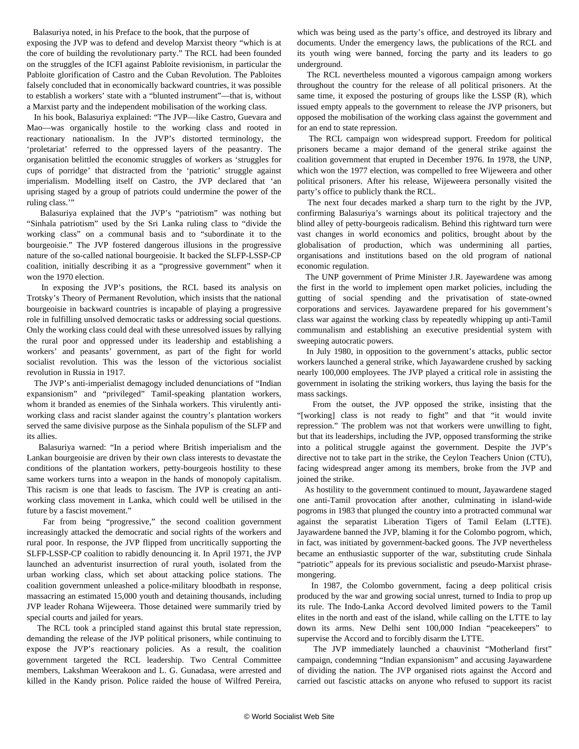Balasuriya noted, in his Preface to the book, that the purpose of

exposing the JVP was to defend and develop Marxist theory "which is at the core of building the revolutionary party." The RCL had been founded on the struggles of the ICFI against Pabloite revisionism, in particular the Pabloite glorification of Castro and the Cuban Revolution. The Pabloites falsely concluded that in economically backward countries, it was possible to establish a workers' state with a "blunted instrument"—that is, without a Marxist party and the independent mobilisation of the working class.

 In his book, Balasuriya explained: "The JVP—like Castro, Guevara and Mao—was organically hostile to the working class and rooted in reactionary nationalism. In the JVP's distorted terminology, the 'proletariat' referred to the oppressed layers of the peasantry. The organisation belittled the economic struggles of workers as 'struggles for cups of porridge' that distracted from the 'patriotic' struggle against imperialism. Modelling itself on Castro, the JVP declared that 'an uprising staged by a group of patriots could undermine the power of the ruling class.'"

 Balasuriya explained that the JVP's "patriotism" was nothing but "Sinhala patriotism" used by the Sri Lanka ruling class to "divide the working class" on a communal basis and to "subordinate it to the bourgeoisie." The JVP fostered dangerous illusions in the progressive nature of the so-called national bourgeoisie. It backed the SLFP-LSSP-CP coalition, initially describing it as a "progressive government" when it won the 1970 election.

 In exposing the JVP's positions, the RCL based its analysis on Trotsky's Theory of Permanent Revolution, which insists that the national bourgeoisie in backward countries is incapable of playing a progressive role in fulfilling unsolved democratic tasks or addressing social questions. Only the working class could deal with these unresolved issues by rallying the rural poor and oppressed under its leadership and establishing a workers' and peasants' government, as part of the fight for world socialist revolution. This was the lesson of the victorious socialist revolution in Russia in 1917.

 The JVP's anti-imperialist demagogy included denunciations of "Indian expansionism" and "privileged" Tamil-speaking plantation workers, whom it branded as enemies of the Sinhala workers. This virulently antiworking class and racist slander against the country's plantation workers served the same divisive purpose as the Sinhala populism of the SLFP and its allies.

 Balasuriya warned: "In a period where British imperialism and the Lankan bourgeoisie are driven by their own class interests to devastate the conditions of the plantation workers, petty-bourgeois hostility to these same workers turns into a weapon in the hands of monopoly capitalism. This racism is one that leads to fascism. The JVP is creating an antiworking class movement in Lanka, which could well be utilised in the future by a fascist movement."

 Far from being "progressive," the second coalition government increasingly attacked the democratic and social rights of the workers and rural poor. In response, the JVP flipped from uncritically supporting the SLFP-LSSP-CP coalition to rabidly denouncing it. In April 1971, the JVP launched an adventurist insurrection of rural youth, isolated from the urban working class, which set about attacking police stations. The coalition government unleashed a police-military bloodbath in response, massacring an estimated 15,000 youth and detaining thousands, including JVP leader Rohana Wijeweera. Those detained were summarily tried by special courts and jailed for years.

 The RCL took a principled stand against this brutal state repression, demanding the release of the JVP political prisoners, while continuing to expose the JVP's reactionary policies. As a result, the coalition government targeted the RCL leadership. Two Central Committee members, Lakshman Weerakoon and L. G. Gunadasa, were arrested and killed in the Kandy prison. Police raided the house of Wilfred Pereira,

which was being used as the party's office, and destroyed its library and documents. Under the emergency laws, the publications of the RCL and its youth wing were banned, forcing the party and its leaders to go underground.

 The RCL nevertheless mounted a vigorous campaign among workers throughout the country for the release of all political prisoners. At the same time, it exposed the posturing of groups like the LSSP (R), which issued empty appeals to the government to release the JVP prisoners, but opposed the mobilisation of the working class against the government and for an end to state repression.

 The RCL campaign won widespread support. Freedom for political prisoners became a major demand of the general strike against the coalition government that erupted in December 1976. In 1978, the UNP, which won the 1977 election, was compelled to free Wijeweera and other political prisoners. After his release, Wijeweera personally visited the party's office to publicly thank the RCL.

 The next four decades marked a sharp turn to the right by the JVP, confirming Balasuriya's warnings about its political trajectory and the blind alley of petty-bourgeois radicalism. Behind this rightward turn were vast changes in world economics and politics, brought about by the globalisation of production, which was undermining all parties, organisations and institutions based on the old program of national economic regulation.

 The UNP government of Prime Minister J.R. Jayewardene was among the first in the world to implement open market policies, including the gutting of social spending and the privatisation of state-owned corporations and services. Jayawardene prepared for his government's class war against the working class by repeatedly whipping up anti-Tamil communalism and establishing an executive presidential system with sweeping autocratic powers.

 In July 1980, in opposition to the government's attacks, public sector workers launched a general strike, which Jayawardene crushed by sacking nearly 100,000 employees. The JVP played a critical role in assisting the government in isolating the striking workers, thus laying the basis for the mass sackings.

 From the outset, the JVP opposed the strike, insisting that the "[working] class is not ready to fight" and that "it would invite repression." The problem was not that workers were unwilling to fight, but that its leaderships, including the JVP, opposed transforming the strike into a political struggle against the government. Despite the JVP's directive not to take part in the strike, the Ceylon Teachers Union (CTU), facing widespread anger among its members, broke from the JVP and joined the strike.

 As hostility to the government continued to mount, Jayawardene staged one anti-Tamil provocation after another, culminating in island-wide pogroms in 1983 that plunged the country into a protracted communal war against the separatist Liberation Tigers of Tamil Eelam (LTTE). Jayawardene banned the JVP, blaming it for the Colombo pogrom, which, in fact, was initiated by government-backed goons. The JVP nevertheless became an enthusiastic supporter of the war, substituting crude Sinhala "patriotic" appeals for its previous socialistic and pseudo-Marxist phrasemongering.

 In 1987, the Colombo government, facing a deep political crisis produced by the war and growing social unrest, turned to India to prop up its rule. The Indo-Lanka Accord devolved limited powers to the Tamil elites in the north and east of the island, while calling on the LTTE to lay down its arms. New Delhi sent 100,000 Indian "peacekeepers" to supervise the Accord and to forcibly disarm the LTTE.

 The JVP immediately launched a chauvinist "Motherland first" campaign, condemning "Indian expansionism" and accusing Jayawardene of dividing the nation. The JVP organised riots against the Accord and carried out fascistic attacks on anyone who refused to support its racist